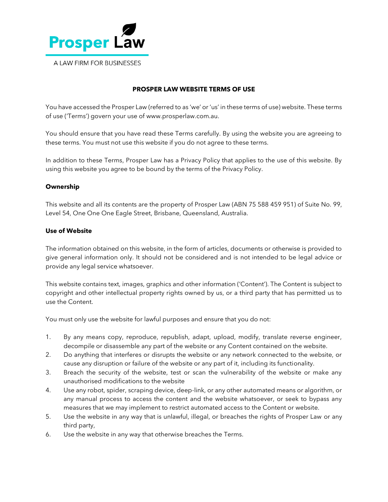

# **PROSPER LAW WEBSITE TERMS OF USE**

You have accessed the Prosper Law (referred to as 'we' or 'us' in these terms of use) website. These terms of use ('Terms') govern your use of www.prosperlaw.com.au.

You should ensure that you have read these Terms carefully. By using the website you are agreeing to these terms. You must not use this website if you do not agree to these terms.

In addition to these Terms, Prosper Law has a Privacy Policy that applies to the use of this website. By using this website you agree to be bound by the terms of the Privacy Policy.

### **Ownership**

This website and all its contents are the property of Prosper Law (ABN 75 588 459 951) of Suite No. 99, Level 54, One One One Eagle Street, Brisbane, Queensland, Australia.

# **Use of Website**

The information obtained on this website, in the form of articles, documents or otherwise is provided to give general information only. It should not be considered and is not intended to be legal advice or provide any legal service whatsoever.

This website contains text, images, graphics and other information ('Content'). The Content is subject to copyright and other intellectual property rights owned by us, or a third party that has permitted us to use the Content.

You must only use the website for lawful purposes and ensure that you do not:

- 1. By any means copy, reproduce, republish, adapt, upload, modify, translate reverse engineer, decompile or disassemble any part of the website or any Content contained on the website.
- 2. Do anything that interferes or disrupts the website or any network connected to the website, or cause any disruption or failure of the website or any part of it, including its functionality.
- 3. Breach the security of the website, test or scan the vulnerability of the website or make any unauthorised modifications to the website
- 4. Use any robot, spider, scraping device, deep-link, or any other automated means or algorithm, or any manual process to access the content and the website whatsoever, or seek to bypass any measures that we may implement to restrict automated access to the Content or website.
- 5. Use the website in any way that is unlawful, illegal, or breaches the rights of Prosper Law or any third party,
- 6. Use the website in any way that otherwise breaches the Terms.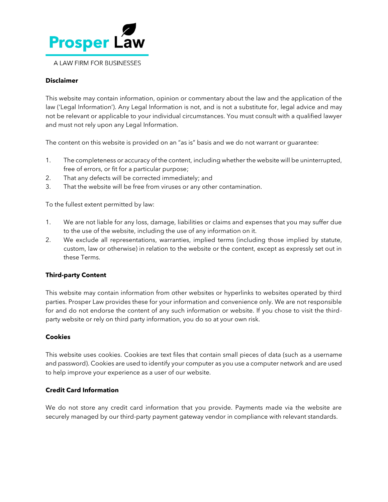

## **Disclaimer**

This website may contain information, opinion or commentary about the law and the application of the law ('Legal Information'). Any Legal Information is not, and is not a substitute for, legal advice and may not be relevant or applicable to your individual circumstances. You must consult with a qualified lawyer and must not rely upon any Legal Information.

The content on this website is provided on an "as is" basis and we do not warrant or guarantee:

- 1. The completeness or accuracy of the content, including whether the website will be uninterrupted, free of errors, or fit for a particular purpose;
- 2. That any defects will be corrected immediately; and
- 3. That the website will be free from viruses or any other contamination.

To the fullest extent permitted by law:

- 1. We are not liable for any loss, damage, liabilities or claims and expenses that you may suffer due to the use of the website, including the use of any information on it.
- 2. We exclude all representations, warranties, implied terms (including those implied by statute, custom, law or otherwise) in relation to the website or the content, except as expressly set out in these Terms.

## **Third-party Content**

This website may contain information from other websites or hyperlinks to websites operated by third parties. Prosper Law provides these for your information and convenience only. We are not responsible for and do not endorse the content of any such information or website. If you chose to visit the thirdparty website or rely on third party information, you do so at your own risk.

#### **Cookies**

This website uses cookies. Cookies are text files that contain small pieces of data (such as a username and password). Cookies are used to identify your computer as you use a computer network and are used to help improve your experience as a user of our website.

#### **Credit Card Information**

We do not store any credit card information that you provide. Payments made via the website are securely managed by our third-party payment gateway vendor in compliance with relevant standards.